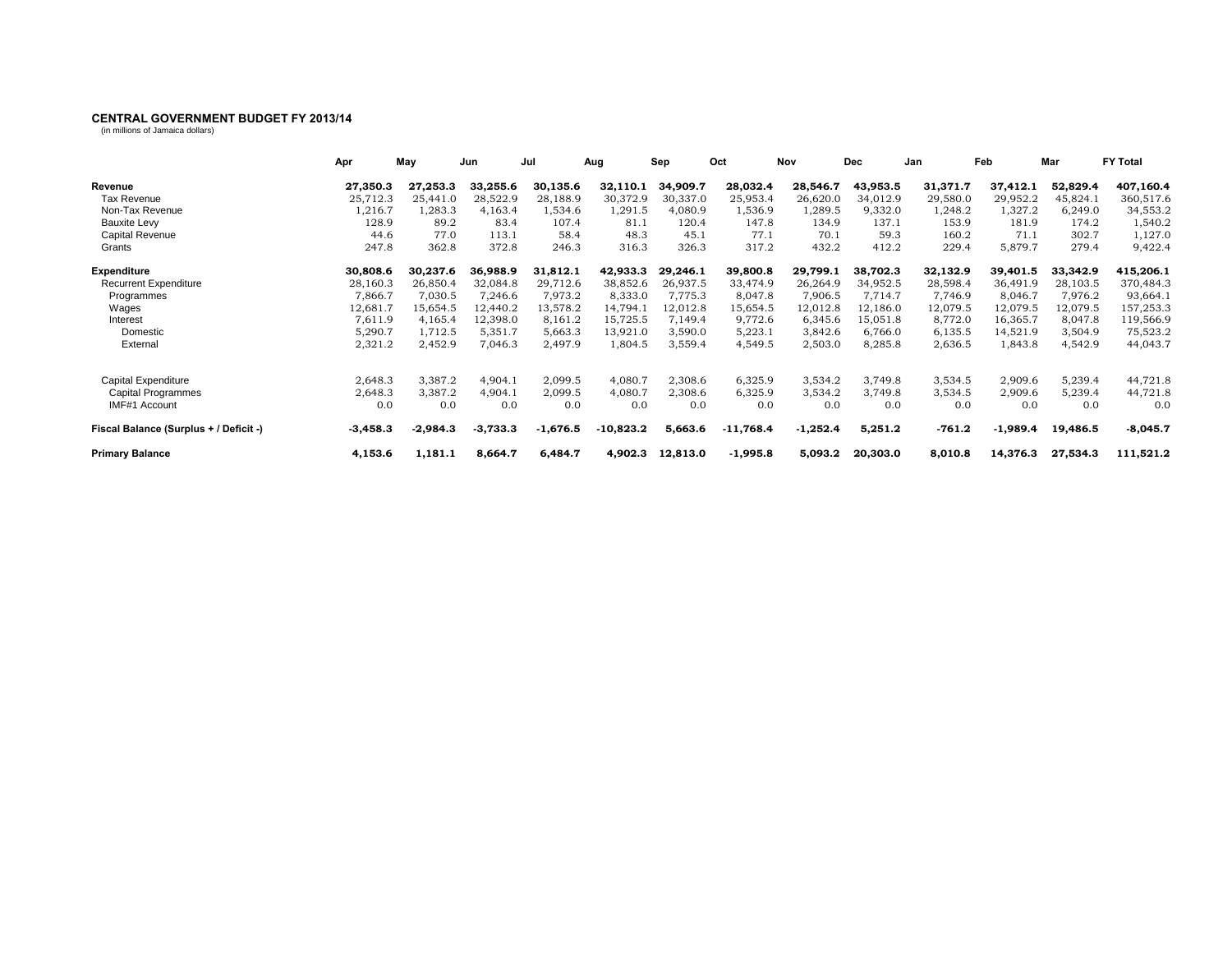## **CENTRAL GOVERNMENT BUDGET FY 2013/14**

(in millions of Jamaica dollars)

|                                        | Apr        | May        | Jun        | Jul        | Aug         | Sep      | Oct         | Nov        | <b>Dec</b> | Jan      | Feb        | Mar      | <b>FY Total</b> |
|----------------------------------------|------------|------------|------------|------------|-------------|----------|-------------|------------|------------|----------|------------|----------|-----------------|
| Revenue                                | 27,350.3   | 27,253.3   | 33,255.6   | 30,135.6   | 32,110.1    | 34,909.7 | 28,032.4    | 28,546.7   | 43,953.5   | 31,371.7 | 37,412.1   | 52,829.4 | 407,160.4       |
| <b>Tax Revenue</b>                     | 25,712.3   | 25,441.0   | 28,522.9   | 28,188.9   | 30,372.9    | 30,337.0 | 25,953.4    | 26,620.0   | 34,012.9   | 29,580.0 | 29,952.2   | 45,824.1 | 360,517.6       |
| Non-Tax Revenue                        | 1,216.7    | 1,283.3    | 4,163.4    | 1,534.6    | 1,291.5     | 4,080.9  | 1,536.9     | .289.5     | 9,332.0    | 1,248.2  | 1,327.2    | 6,249.0  | 34,553.2        |
| <b>Bauxite Levy</b>                    | 128.9      | 89.2       | 83.4       | 107.4      | 81.1        | 120.4    | 147.8       | 134.9      | 137.1      | 153.9    | 181.9      | 174.2    | 1,540.2         |
| Capital Revenue                        | 44.6       | 77.0       | 113.1      | 58.4       | 48.3        | 45.1     | 77.1        | 70.1       | 59.3       | 160.2    | 71.1       | 302.7    | 1,127.0         |
| Grants                                 | 247.8      | 362.8      | 372.8      | 246.3      | 316.3       | 326.3    | 317.2       | 432.2      | 412.2      | 229.4    | 5,879.7    | 279.4    | 9,422.4         |
| <b>Expenditure</b>                     | 30,808.6   | 30,237.6   | 36,988.9   | 31,812.1   | 42,933.3    | 29,246.1 | 39,800.8    | 29,799.1   | 38,702.3   | 32,132.9 | 39,401.5   | 33,342.9 | 415,206.1       |
| <b>Recurrent Expenditure</b>           | 28,160.3   | 26,850.4   | 32,084.8   | 29,712.6   | 38,852.6    | 26,937.5 | 33,474.9    | 26,264.9   | 34,952.5   | 28,598.4 | 36,491.9   | 28,103.5 | 370,484.3       |
| Programmes                             | 7,866.7    | 7,030.5    | 7,246.6    | 7,973.2    | 8,333.0     | 7,775.3  | 8,047.8     | 7,906.5    | 7,714.7    | 7,746.9  | 8,046.7    | 7,976.2  | 93,664.1        |
| Wages                                  | 12,681.7   | 15,654.5   | 12,440.2   | 13,578.2   | 14,794.1    | 12,012.8 | 15,654.5    | 12,012.8   | 12,186.0   | 12,079.5 | 12,079.5   | 12,079.5 | 157,253.3       |
| Interest                               | 7,611.9    | 4,165.4    | 12,398.0   | 8,161.2    | 15,725.5    | 7,149.4  | 9,772.6     | 6,345.6    | 15,051.8   | 8,772.0  | 16,365.7   | 8,047.8  | 119,566.9       |
| Domestic                               | 5,290.7    | 1,712.5    | 5,351.7    | 5,663.3    | 13,921.0    | 3,590.0  | 5,223.1     | 3,842.6    | 6,766.0    | 6,135.5  | 14,521.9   | 3,504.9  | 75,523.2        |
| External                               | 2,321.2    | 2,452.9    | 7,046.3    | 2,497.9    | 1,804.5     | 3,559.4  | 4,549.5     | 2,503.0    | 8,285.8    | 2,636.5  | 1,843.8    | 4,542.9  | 44,043.7        |
| Capital Expenditure                    | 2,648.3    | 3,387.2    | 4,904.1    | 2,099.5    | 4,080.7     | 2,308.6  | 6,325.9     | 3,534.2    | 3,749.8    | 3,534.5  | 2,909.6    | 5,239.4  | 44,721.8        |
| <b>Capital Programmes</b>              | 2,648.3    | 3,387.2    | 4,904.1    | 2,099.5    | 4,080.7     | 2,308.6  | 6,325.9     | 3,534.2    | 3,749.8    | 3,534.5  | 2,909.6    | 5,239.4  | 44,721.8        |
| IMF#1 Account                          | 0.0        | 0.0        | 0.0        | 0.0        | 0.0         | 0.0      | 0.0         | 0.0        | 0.0        | 0.0      | 0.0        | 0.0      | 0.0             |
|                                        |            |            |            |            |             |          |             |            |            |          |            |          |                 |
| Fiscal Balance (Surplus + / Deficit -) | $-3,458.3$ | $-2,984.3$ | $-3,733.3$ | $-1,676.5$ | $-10,823.2$ | 5,663.6  | $-11,768.4$ | $-1,252.4$ | 5,251.2    | -761.2   | $-1,989.4$ | 19,486.5 | $-8,045.7$      |
| <b>Primary Balance</b>                 | 4,153.6    | 1,181.1    | 8,664.7    | 6,484.7    | 4,902.3     | 12,813.0 | $-1,995.8$  | 5,093.2    | 20,303.0   | 8,010.8  | 14,376.3   | 27,534.3 | 111,521.2       |